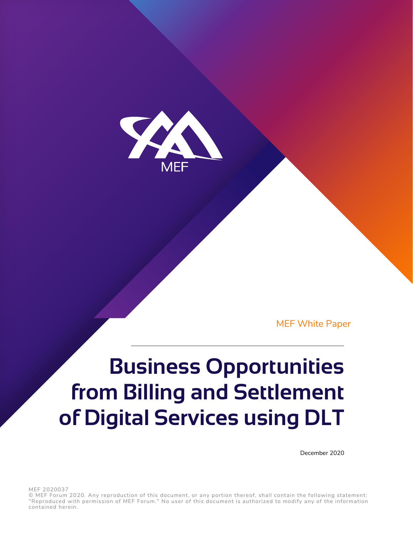

MEF White Paper

# **Business Opportunities from Billing and Settlement of Digital Services using DLT**

December 2020

MEF 2020037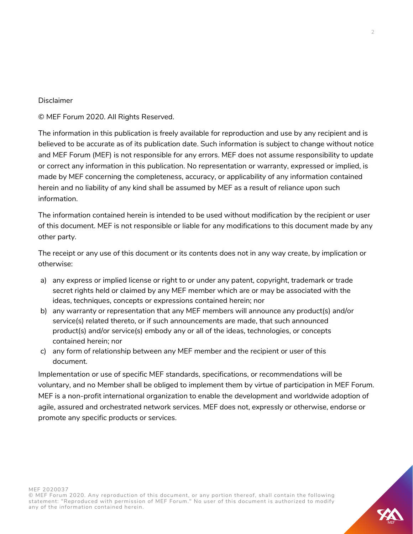## Disclaimer

© MEF Forum 2020. All Rights Reserved.

The information in this publication is freely available for reproduction and use by any recipient and is believed to be accurate as of its publication date. Such information is subject to change without notice and MEF Forum (MEF) is not responsible for any errors. MEF does not assume responsibility to update or correct any information in this publication. No representation or warranty, expressed or implied, is made by MEF concerning the completeness, accuracy, or applicability of any information contained herein and no liability of any kind shall be assumed by MEF as a result of reliance upon such information.

The information contained herein is intended to be used without modification by the recipient or user of this document. MEF is not responsible or liable for any modifications to this document made by any other party.

The receipt or any use of this document or its contents does not in any way create, by implication or otherwise:

- a) any express or implied license or right to or under any patent, copyright, trademark or trade secret rights held or claimed by any MEF member which are or may be associated with the ideas, techniques, concepts or expressions contained herein; nor
- b) any warranty or representation that any MEF members will announce any product(s) and/or service(s) related thereto, or if such announcements are made, that such announced product(s) and/or service(s) embody any or all of the ideas, technologies, or concepts contained herein; nor
- c) any form of relationship between any MEF member and the recipient or user of this document.

Implementation or use of specific MEF standards, specifications, or recommendations will be voluntary, and no Member shall be obliged to implement them by virtue of participation in MEF Forum. MEF is a non-profit international organization to enable the development and worldwide adoption of agile, assured and orchestrated network services. MEF does not, expressly or otherwise, endorse or promote any specific products or services.

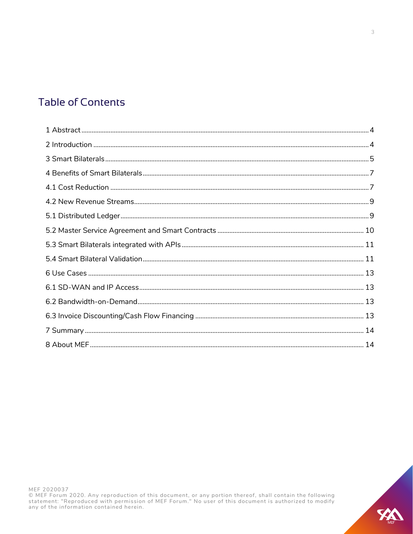# **Table of Contents**

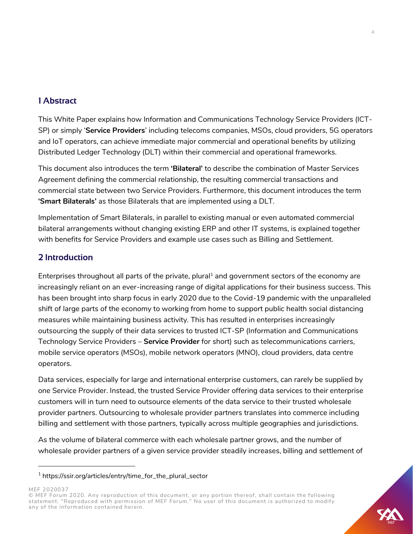# <span id="page-3-0"></span>**1 Abstract**

This White Paper explains how Information and Communications Technology Service Providers (ICT-SP) or simply '**Service Providers**' including telecoms companies, MSOs, cloud providers, 5G operators and IoT operators, can achieve immediate major commercial and operational benefits by utilizing Distributed Ledger Technology (DLT) within their commercial and operational frameworks.

This document also introduces the term **'Bilateral'** to describe the combination of Master Services Agreement defining the commercial relationship, the resulting commercial transactions and commercial state between two Service Providers. Furthermore, this document introduces the term **'Smart Bilaterals'** as those Bilaterals that are implemented using a DLT.

Implementation of Smart Bilaterals, in parallel to existing manual or even automated commercial bilateral arrangements without changing existing ERP and other IT systems, is explained together with benefits for Service Providers and example use cases such as Billing and Settlement.

# <span id="page-3-1"></span>**2 Introduction**

Enterprises throughout all parts of the private, plural<sup>1</sup> and government sectors of the economy are increasingly reliant on an ever-increasing range of digital applications for their business success. This has been brought into sharp focus in early 2020 due to the Covid-19 pandemic with the unparalleled shift of large parts of the economy to working from home to support public health social distancing measures while maintaining business activity. This has resulted in enterprises increasingly outsourcing the supply of their data services to trusted ICT-SP (Information and Communications Technology Service Providers – **Service Provider** for short) such as telecommunications carriers, mobile service operators (MSOs), mobile network operators (MNO), cloud providers, data centre operators.

Data services, especially for large and international enterprise customers, can rarely be supplied by one Service Provider. Instead, the trusted Service Provider offering data services to their enterprise customers will in turn need to outsource elements of the data service to their trusted wholesale provider partners. Outsourcing to wholesale provider partners translates into commerce including billing and settlement with those partners, typically across multiple geographies and jurisdictions.

As the volume of bilateral commerce with each wholesale partner grows, and the number of wholesale provider partners of a given service provider steadily increases, billing and settlement of

<sup>1</sup> [https://ssir.org/articles/entry/time\\_for\\_the\\_plural\\_sector](https://ssir.org/articles/entry/time_for_the_plural_sector)

<sup>©</sup> MEF Forum 2020. Any reproduction of this document, or any portion thereof, shall contain the following statement: "Reproduced with permission of MEF Forum." No user of this document is authorized to modify any of the information contained herein.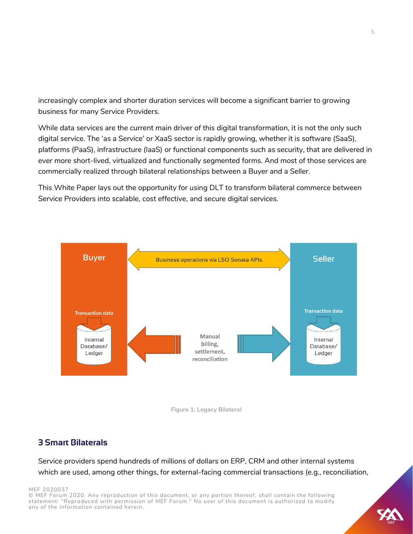increasingly complex and shorter duration services will become a significant barrier to growing business for many Service Providers.

While data services are the current main driver of this digital transformation, it is not the only such digital service. The 'as a Service' or XaaS sector is rapidly growing, whether it is software (SaaS), platforms (PaaS), infrastructure (IaaS) or functional components such as security, that are delivered in ever more short-lived, virtualized and functionally segmented forms. And most of those services are commercially realized through bilateral relationships between a Buyer and a Seller.

This White Paper lays out the opportunity for using DLT to transform bilateral commerce between Service Providers into scalable, cost effective, and secure digital services.



![](_page_4_Figure_4.jpeg)

# <span id="page-4-0"></span>**3 Smart Bilaterals**

Service providers spend hundreds of millions of dollars on ERP, CRM and other internal systems which are used, among other things, for external-facing commercial transactions (e.g., reconciliation,

#### MEF 2020037

![](_page_4_Picture_9.jpeg)

![](_page_4_Picture_10.jpeg)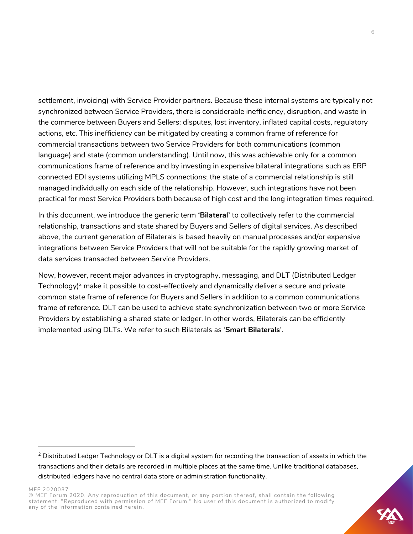settlement, invoicing) with Service Provider partners. Because these internal systems are typically not synchronized between Service Providers, there is considerable inefficiency, disruption, and waste in the commerce between Buyers and Sellers: disputes, lost inventory, inflated capital costs, regulatory actions, etc. This inefficiency can be mitigated by creating a common frame of reference for commercial transactions between two Service Providers for both communications (common language) and state (common understanding). Until now, this was achievable only for a common communications frame of reference and by investing in expensive bilateral integrations such as ERP connected EDI systems utilizing MPLS connections; the state of a commercial relationship is still managed individually on each side of the relationship. However, such integrations have not been practical for most Service Providers both because of high cost and the long integration times required.

In this document, we introduce the generic term **'Bilateral'** to collectively refer to the commercial relationship, transactions and state shared by Buyers and Sellers of digital services. As described above, the current generation of Bilaterals is based heavily on manual processes and/or expensive integrations between Service Providers that will not be suitable for the rapidly growing market of data services transacted between Service Providers.

Now, however, recent major advances in cryptography, messaging, and DLT (Distributed Ledger Technology)<sup>2</sup> make it possible to cost-effectively and dynamically deliver a secure and private common state frame of reference for Buyers and Sellers in addition to a common communications frame of reference. DLT can be used to achieve state synchronization between two or more Service Providers by establishing a shared state or ledger. In other words, Bilaterals can be efficiently implemented using DLTs. We refer to such Bilaterals as '**Smart Bilaterals**'.

![](_page_5_Picture_6.jpeg)

<sup>&</sup>lt;sup>2</sup> Distributed Ledger Technology or DLT is a digital system for recording the transaction of assets in which the transactions and their details are recorded in multiple places at the same time. Unlike traditional databases, distributed ledgers have no central data store or administration functionality.

<sup>©</sup> MEF Forum 2020. Any reproduction of this document, or any portion thereof, shall contain the following statement: "Reproduced with permission of MEF Forum." No user of this document is authorized to modify any of the information contained herein.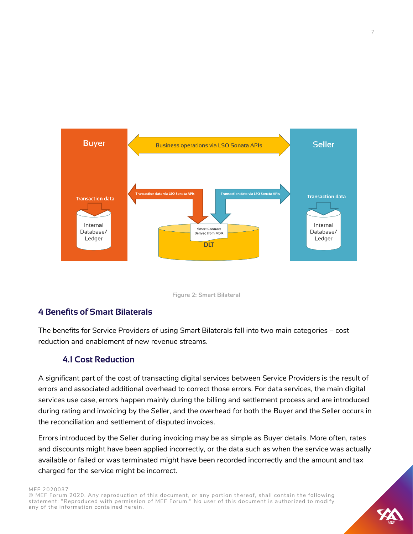![](_page_6_Figure_0.jpeg)

![](_page_6_Figure_1.jpeg)

# <span id="page-6-0"></span>**4 Benefits of Smart Bilaterals**

The benefits for Service Providers of using Smart Bilaterals fall into two main categories – cost reduction and enablement of new revenue streams.

# **4.1 Cost Reduction**

<span id="page-6-1"></span>A significant part of the cost of transacting digital services between Service Providers is the result of errors and associated additional overhead to correct those errors. For data services, the main digital services use case, errors happen mainly during the billing and settlement process and are introduced during rating and invoicing by the Seller, and the overhead for both the Buyer and the Seller occurs in the reconciliation and settlement of disputed invoices.

Errors introduced by the Seller during invoicing may be as simple as Buyer details. More often, rates and discounts might have been applied incorrectly, or the data such as when the service was actually available or failed or was terminated might have been recorded incorrectly and the amount and tax charged for the service might be incorrect.

MEF 2020037

![](_page_6_Picture_9.jpeg)

![](_page_6_Picture_10.jpeg)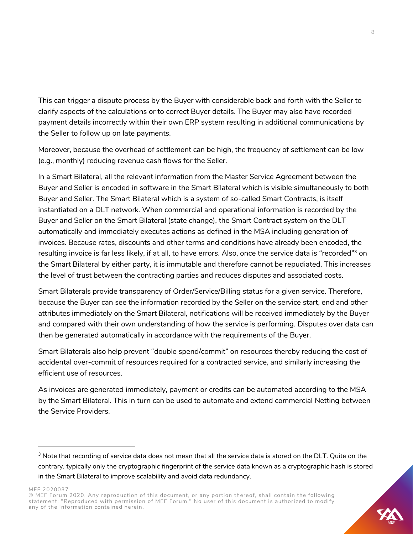This can trigger a dispute process by the Buyer with considerable back and forth with the Seller to clarify aspects of the calculations or to correct Buyer details. The Buyer may also have recorded payment details incorrectly within their own ERP system resulting in additional communications by the Seller to follow up on late payments.

Moreover, because the overhead of settlement can be high, the frequency of settlement can be low (e.g., monthly) reducing revenue cash flows for the Seller.

In a Smart Bilateral, all the relevant information from the Master Service Agreement between the Buyer and Seller is encoded in software in the Smart Bilateral which is visible simultaneously to both Buyer and Seller. The Smart Bilateral which is a system of so-called Smart Contracts, is itself instantiated on a DLT network. When commercial and operational information is recorded by the Buyer and Seller on the Smart Bilateral (state change), the Smart Contract system on the DLT automatically and immediately executes actions as defined in the MSA including generation of invoices. Because rates, discounts and other terms and conditions have already been encoded, the resulting invoice is far less likely, if at all, to have errors. Also, once the service data is "recorded"<sup>3</sup> on the Smart Bilateral by either party, it is immutable and therefore cannot be repudiated. This increases the level of trust between the contracting parties and reduces disputes and associated costs.

Smart Bilaterals provide transparency of Order/Service/Billing status for a given service. Therefore, because the Buyer can see the information recorded by the Seller on the service start, end and other attributes immediately on the Smart Bilateral, notifications will be received immediately by the Buyer and compared with their own understanding of how the service is performing. Disputes over data can then be generated automatically in accordance with the requirements of the Buyer.

Smart Bilaterals also help prevent "double spend/commit" on resources thereby reducing the cost of accidental over-commit of resources required for a contracted service, and similarly increasing the efficient use of resources.

As invoices are generated immediately, payment or credits can be automated according to the MSA by the Smart Bilateral. This in turn can be used to automate and extend commercial Netting between the Service Providers.

<sup>&</sup>lt;sup>3</sup> Note that recording of service data does not mean that all the service data is stored on the DLT. Quite on the contrary, typically only the cryptographic fingerprint of the service data known as a cryptographic hash is stored in the Smart Bilateral to improve scalability and avoid data redundancy.

<sup>©</sup> MEF Forum 2020. Any reproduction of this document, or any portion thereof, shall contain the following statement: "Reproduced with permission of MEF Forum." No user of this document is authorized to modify any of the information contained herein.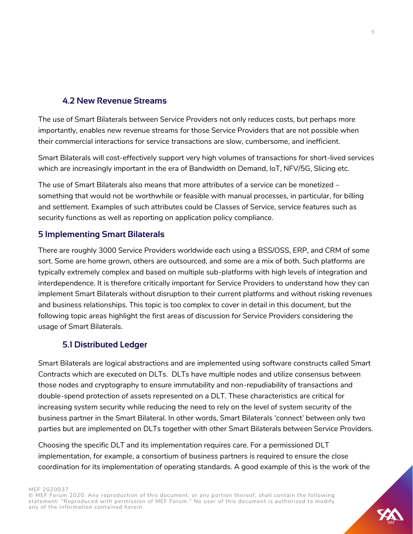# **4.2 New Revenue Streams**

<span id="page-8-0"></span>The use of Smart Bilaterals between Service Providers not only reduces costs, but perhaps more importantly, enables new revenue streams for those Service Providers that are not possible when their commercial interactions for service transactions are slow, cumbersome, and inefficient.

Smart Bilaterals will cost-effectively support very high volumes of transactions for short-lived services which are increasingly important in the era of Bandwidth on Demand, IoT, NFV/5G, Slicing etc.

The use of Smart Bilaterals also means that more attributes of a service can be monetized – something that would not be worthwhile or feasible with manual processes, in particular, for billing and settlement. Examples of such attributes could be Classes of Service, service features such as security functions as well as reporting on application policy compliance.

# **5 Implementing Smart Bilaterals**

There are roughly 3000 Service Providers worldwide each using a BSS/OSS, ERP, and CRM of some sort. Some are home grown, others are outsourced, and some are a mix of both. Such platforms are typically extremely complex and based on multiple sub-platforms with high levels of integration and interdependence. It is therefore critically important for Service Providers to understand how they can implement Smart Bilaterals without disruption to their current platforms and without risking revenues and business relationships. This topic is too complex to cover in detail in this document, but the following topic areas highlight the first areas of discussion for Service Providers considering the usage of Smart Bilaterals.

# **5.1 Distributed Ledger**

<span id="page-8-1"></span>Smart Bilaterals are logical abstractions and are implemented using software constructs called Smart Contracts which are executed on DLTs. DLTs have multiple nodes and utilize consensus between those nodes and cryptography to ensure immutability and non-repudiability of transactions and double-spend protection of assets represented on a DLT. These characteristics are critical for increasing system security while reducing the need to rely on the level of system security of the business partner in the Smart Bilateral. In other words, Smart Bilaterals 'connect' between only two parties but are implemented on DLTs together with other Smart Bilaterals between Service Providers.

Choosing the specific DLT and its implementation requires care. For a permissioned DLT implementation, for example, a consortium of business partners is required to ensure the close coordination for its implementation of operating standards. A good example of this is the work of the

MEF 2020037

![](_page_8_Picture_12.jpeg)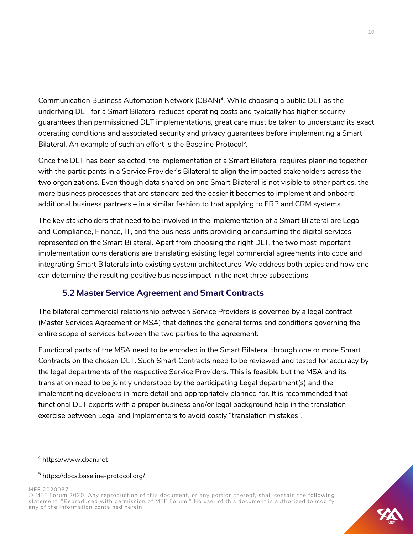Communication Business Automation Network (CBAN)<sup>4</sup>. While choosing a public DLT as the underlying DLT for a Smart Bilateral reduces operating costs and typically has higher security guarantees than permissioned DLT implementations, great care must be taken to understand its exact operating conditions and associated security and privacy guarantees before implementing a Smart Bilateral. An example of such an effort is the Baseline Protocol<sup>5</sup>.

Once the DLT has been selected, the implementation of a Smart Bilateral requires planning together with the participants in a Service Provider's Bilateral to align the impacted stakeholders across the two organizations. Even though data shared on one Smart Bilateral is not visible to other parties, the more business processes that are standardized the easier it becomes to implement and onboard additional business partners – in a similar fashion to that applying to ERP and CRM systems.

The key stakeholders that need to be involved in the implementation of a Smart Bilateral are Legal and Compliance, Finance, IT, and the business units providing or consuming the digital services represented on the Smart Bilateral. Apart from choosing the right DLT, the two most important implementation considerations are translating existing legal commercial agreements into code and integrating Smart Bilaterals into existing system architectures. We address both topics and how one can determine the resulting positive business impact in the next three subsections.

# **5.2 Master Service Agreement and Smart Contracts**

<span id="page-9-0"></span>The bilateral commercial relationship between Service Providers is governed by a legal contract (Master Services Agreement or MSA) that defines the general terms and conditions governing the entire scope of services between the two parties to the agreement.

Functional parts of the MSA need to be encoded in the Smart Bilateral through one or more Smart Contracts on the chosen DLT. Such Smart Contracts need to be reviewed and tested for accuracy by the legal departments of the respective Service Providers. This is feasible but the MSA and its translation need to be jointly understood by the participating Legal department(s) and the implementing developers in more detail and appropriately planned for. It is recommended that functional DLT experts with a proper business and/or legal background help in the translation exercise between Legal and Implementers to avoid costly "translation mistakes".

![](_page_9_Picture_10.jpeg)

<sup>4</sup> [https://www.cban.net](https://www.cban.net/)

<sup>5</sup> <https://docs.baseline-protocol.org/>

<sup>©</sup> MEF Forum 2020. Any reproduction of this document, or any portion thereof, shall contain the following statement: "Reproduced with permission of MEF Forum." No user of this document is authorized to modify any of the information contained herein.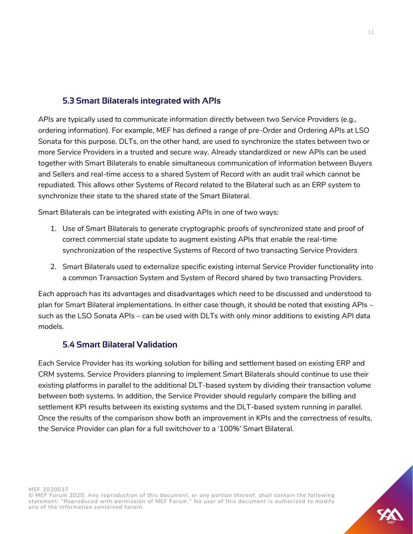# **5.3 Smart Bilaterals integrated with APIs**

<span id="page-10-0"></span>APIs are typically used to communicate information directly between two Service Providers (e.g., ordering information). For example, MEF has defined a range of pre-Order and Ordering APIs at LSO Sonata for this purpose. DLTs, on the other hand, are used to synchronize the states between two or more Service Providers in a trusted and secure way. Already standardized or new APIs can be used together with Smart Bilaterals to enable simultaneous communication of information between Buyers and Sellers and real-time access to a shared System of Record with an audit trail which cannot be repudiated. This allows other Systems of Record related to the Bilateral such as an ERP system to synchronize their state to the shared state of the Smart Bilateral.

Smart Bilaterals can be integrated with existing APIs in one of two ways:

- 1. Use of Smart Bilaterals to generate cryptographic proofs of synchronized state and proof of correct commercial state update to augment existing APIs that enable the real-time synchronization of the respective Systems of Record of two transacting Service Providers
- 2. Smart Bilaterals used to externalize specific existing internal Service Provider functionality into a common Transaction System and System of Record shared by two transacting Providers.

Each approach has its advantages and disadvantages which need to be discussed and understood to plan for Smart Bilateral implementations. In either case though, it should be noted that existing APIs – such as the LSO Sonata APIs – can be used with DLTs with only *minor additions* to existing API data models.

# **5.4 Smart Bilateral Validation**

<span id="page-10-1"></span>Each Service Provider has its working solution for billing and settlement based on existing ERP and CRM systems. Service Providers planning to implement Smart Bilaterals should continue to use their existing platforms in parallel to the additional DLT-based system by dividing their transaction volume between both systems. In addition, the Service Provider should regularly compare the billing and settlement KPI results between its existing systems and the DLT-based system running in parallel. Once the results of the comparison show both an improvement in KPIs and the correctness of results, the Service Provider can plan for a full switchover to a '100%' Smart Bilateral.

![](_page_10_Picture_10.jpeg)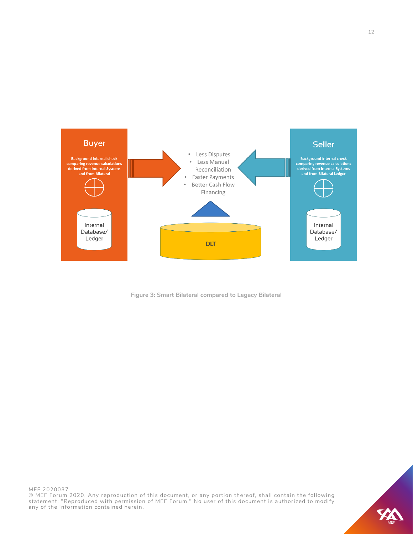![](_page_11_Figure_0.jpeg)

**Figure 3: Smart Bilateral compared to Legacy Bilateral**

![](_page_11_Picture_4.jpeg)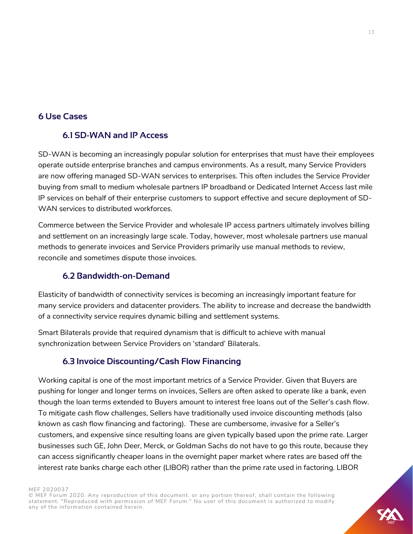# <span id="page-12-1"></span><span id="page-12-0"></span>**6 Use Cases**

# **6.1 SD-WAN and IP Access**

SD-WAN is becoming an increasingly popular solution for enterprises that must have their employees operate outside enterprise branches and campus environments. As a result, many Service Providers are now offering managed SD-WAN services to enterprises. This often includes the Service Provider buying from small to medium wholesale partners IP broadband or Dedicated Internet Access last mile IP services on behalf of their enterprise customers to support effective and secure deployment of SD-WAN services to distributed workforces.

Commerce between the Service Provider and wholesale IP access partners ultimately involves billing and settlement on an increasingly large scale. Today, however, most wholesale partners use manual methods to generate invoices and Service Providers primarily use manual methods to review, reconcile and sometimes dispute those invoices.

# **6.2 Bandwidth-on-Demand**

<span id="page-12-2"></span>Elasticity of bandwidth of connectivity services is becoming an increasingly important feature for many service providers and datacenter providers. The ability to increase and decrease the bandwidth of a connectivity service requires dynamic billing and settlement systems.

Smart Bilaterals provide that required dynamism that is difficult to achieve with manual synchronization between Service Providers on 'standard' Bilaterals.

# **6.3 Invoice Discounting/Cash Flow Financing**

<span id="page-12-3"></span>Working capital is one of the most important metrics of a Service Provider. Given that Buyers are pushing for longer and longer terms on invoices, Sellers are often asked to operate like a bank, even though the loan terms extended to Buyers amount to interest free loans out of the Seller's cash flow. To mitigate cash flow challenges, Sellers have traditionally used invoice discounting methods (also known as cash flow financing and factoring). These are cumbersome, invasive for a Seller's customers, and expensive since resulting loans are given typically based upon the prime rate. Larger businesses such GE, John Deer, Merck, or Goldman Sachs do not have to go this route, because they can access significantly cheaper loans in the overnight paper market where rates are based off the interest rate banks charge each other (LIBOR) rather than the prime rate used in factoring. LIBOR

MEF 2020037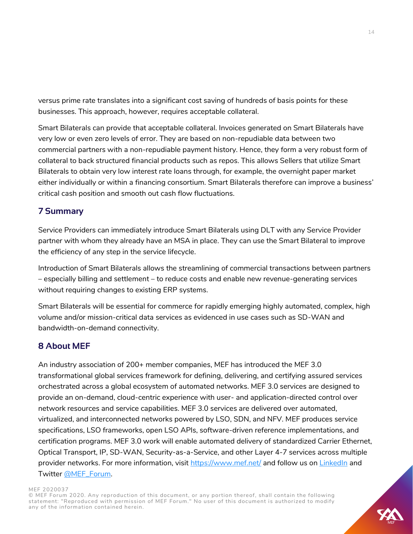versus prime rate translates into a significant cost saving of hundreds of basis points for these businesses. This approach, however, requires acceptable collateral.

Smart Bilaterals can provide that acceptable collateral. Invoices generated on Smart Bilaterals have very low or even zero levels of error. They are based on non-repudiable data between two commercial partners with a non-repudiable payment history. Hence, they form a very robust form of collateral to back structured financial products such as repos. This allows Sellers that utilize Smart Bilaterals to obtain very low interest rate loans through, for example, the overnight paper market either individually or within a financing consortium. Smart Bilaterals therefore can improve a business' critical cash position and smooth out cash flow fluctuations.

# <span id="page-13-0"></span>**7 Summary**

Service Providers can immediately introduce Smart Bilaterals using DLT with any Service Provider partner with whom they already have an MSA in place. They can use the Smart Bilateral to improve the efficiency of any step in the service lifecycle.

Introduction of Smart Bilaterals allows the streamlining of commercial transactions between partners – especially billing and settlement – to reduce costs and enable new revenue-generating services without requiring changes to existing ERP systems.

Smart Bilaterals will be essential for commerce for rapidly emerging highly automated, complex, high volume and/or mission-critical data services as evidenced in use cases such as SD-WAN and bandwidth-on-demand connectivity.

# <span id="page-13-1"></span>**8 About MEF**

An industry association of 200+ member companies, MEF has introduced the MEF 3.0 transformational global services framework for defining, delivering, and certifying assured services orchestrated across a global ecosystem of automated networks. MEF 3.0 services are designed to provide an on-demand, cloud-centric experience with user- and application-directed control over network resources and service capabilities. MEF 3.0 services are delivered over automated, virtualized, and interconnected networks powered by LSO, SDN, and NFV. MEF produces service specifications, LSO frameworks, open LSO APIs, software-driven reference implementations, and certification programs. MEF 3.0 work will enable automated delivery of standardized Carrier Ethernet, Optical Transport, IP, SD-WAN, Security-as-a-Service, and other Layer 4-7 services across multiple provider networks. For more information, visit<https://www.mef.net/> and follow us on [LinkedIn](https://www.linkedin.com/company/mef-forum/) and Twitter [@MEF\\_Forum.](https://twitter.com/MEF_Forum)

### MEF 2020037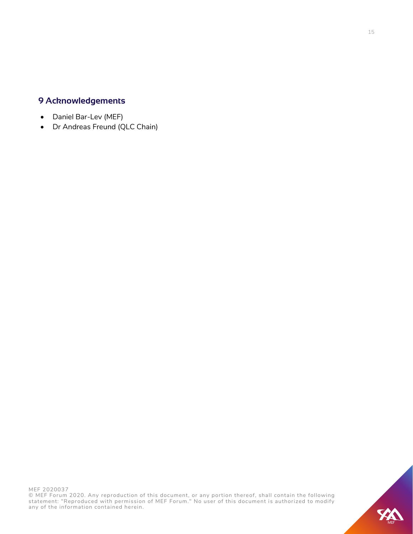# **9 Acknowledgements**

- Daniel Bar-Lev (MEF)
- Dr Andreas Freund (QLC Chain)

![](_page_14_Picture_4.jpeg)